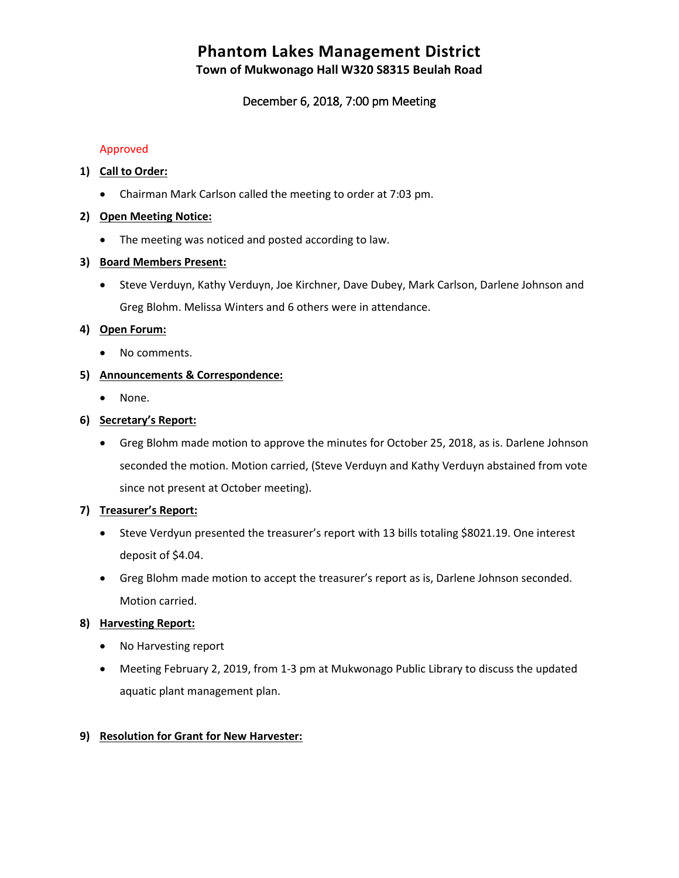# **Phantom Lakes Management District**

**Town of Mukwonago Hall W320 S8315 Beulah Road**

# December 6, 2018, 7:00 pm Meeting

#### Approved

# **1) Call to Order:**

• Chairman Mark Carlson called the meeting to order at 7:03 pm.

## **2) Open Meeting Notice:**

• The meeting was noticed and posted according to law.

## **3) Board Members Present:**

• Steve Verduyn, Kathy Verduyn, Joe Kirchner, Dave Dubey, Mark Carlson, Darlene Johnson and Greg Blohm. Melissa Winters and 6 others were in attendance.

#### **4) Open Forum:**

• No comments.

## **5) Announcements & Correspondence:**

• None.

## **6) Secretary's Report:**

• Greg Blohm made motion to approve the minutes for October 25, 2018, as is. Darlene Johnson seconded the motion. Motion carried, (Steve Verduyn and Kathy Verduyn abstained from vote since not present at October meeting).

#### **7) Treasurer's Report:**

- Steve Verdyun presented the treasurer's report with 13 bills totaling \$8021.19. One interest deposit of \$4.04.
- Greg Blohm made motion to accept the treasurer's report as is, Darlene Johnson seconded. Motion carried.

## **8) Harvesting Report:**

- No Harvesting report
- Meeting February 2, 2019, from 1-3 pm at Mukwonago Public Library to discuss the updated aquatic plant management plan.

# **9) Resolution for Grant for New Harvester:**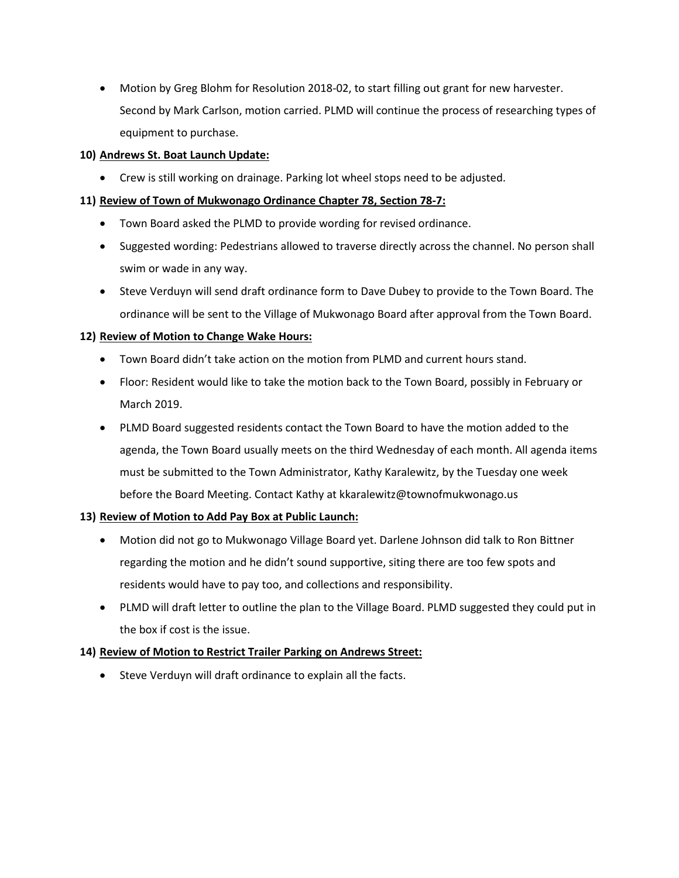• Motion by Greg Blohm for Resolution 2018-02, to start filling out grant for new harvester. Second by Mark Carlson, motion carried. PLMD will continue the process of researching types of equipment to purchase.

## **10) Andrews St. Boat Launch Update:**

• Crew is still working on drainage. Parking lot wheel stops need to be adjusted.

#### **11) Review of Town of Mukwonago Ordinance Chapter 78, Section 78-7:**

- Town Board asked the PLMD to provide wording for revised ordinance.
- Suggested wording: Pedestrians allowed to traverse directly across the channel. No person shall swim or wade in any way.
- Steve Verduyn will send draft ordinance form to Dave Dubey to provide to the Town Board. The ordinance will be sent to the Village of Mukwonago Board after approval from the Town Board.

## **12) Review of Motion to Change Wake Hours:**

- Town Board didn't take action on the motion from PLMD and current hours stand.
- Floor: Resident would like to take the motion back to the Town Board, possibly in February or March 2019.
- PLMD Board suggested residents contact the Town Board to have the motion added to the agenda, the Town Board usually meets on the third Wednesday of each month. All agenda items must be submitted to the Town Administrator, Kathy Karalewitz, by the Tuesday one week before the Board Meeting. Contact Kathy at kkaralewitz@townofmukwonago.us

#### **13) Review of Motion to Add Pay Box at Public Launch:**

- Motion did not go to Mukwonago Village Board yet. Darlene Johnson did talk to Ron Bittner regarding the motion and he didn't sound supportive, siting there are too few spots and residents would have to pay too, and collections and responsibility.
- PLMD will draft letter to outline the plan to the Village Board. PLMD suggested they could put in the box if cost is the issue.

# **14) Review of Motion to Restrict Trailer Parking on Andrews Street:**

• Steve Verduyn will draft ordinance to explain all the facts.